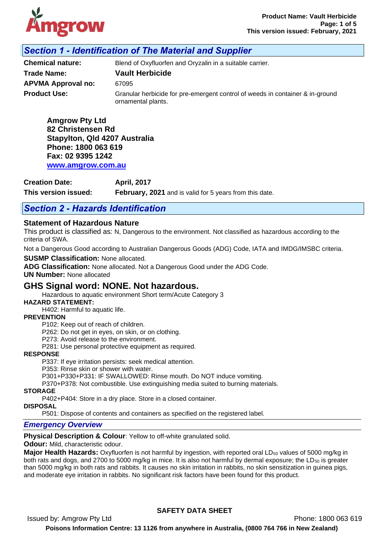

# *Section 1 - Identification of The Material and Supplier*

ornamental plants.

**Chemical nature:** Blend of Oxyfluorfen and Oryzalin in a suitable carrier. **Trade Name: Vault Herbicide APVMA Approval no:** 67095

**Product Use: Granular herbicide for pre-emergent control of weeds in container & in-ground** 

**Amgrow Pty Ltd 82 Christensen Rd Stapylton, Qld 4207 Australia Phone: 1800 063 619 Fax: 02 9395 1242 [www.amgrow.com.au](http://www.amgrow.com.au/)**

**Creation Date: April, 2017**

**This version issued: February, 2021** and is valid for 5 years from this date.

## *Section 2 - Hazards Identification*

### **Statement of Hazardous Nature**

This product is classified as: N, Dangerous to the environment. Not classified as hazardous according to the criteria of SWA.

Not a Dangerous Good according to Australian Dangerous Goods (ADG) Code, IATA and IMDG/IMSBC criteria.

**SUSMP Classification:** None allocated.

**ADG Classification:** None allocated. Not a Dangerous Good under the ADG Code.

**UN Number:** None allocated

# **GHS Signal word: NONE. Not hazardous.**

Hazardous to aquatic environment Short term/Acute Category 3

#### **HAZARD STATEMENT:**

H402: Harmful to aquatic life.

#### **PREVENTION**

P102: Keep out of reach of children.

P262: Do not get in eyes, on skin, or on clothing.

P273: Avoid release to the environment.

P281: Use personal protective equipment as required.

#### **RESPONSE**

P337: If eye irritation persists: seek medical attention.

P353: Rinse skin or shower with water.

P301+P330+P331: IF SWALLOWED: Rinse mouth. Do NOT induce vomiting.

P370+P378: Not combustible. Use extinguishing media suited to burning materials.

#### **STORAGE**

P402+P404: Store in a dry place. Store in a closed container.

**DISPOSAL** P501: Dispose of contents and containers as specified on the registered label.

## *Emergency Overview*

**Physical Description & Colour:** Yellow to off-white granulated solid.

#### **Odour:** Mild, characteristic odour.

**Major Health Hazards:** Oxyfluorfen is not harmful by ingestion, with reported oral LD<sub>50</sub> values of 5000 mg/kg in both rats and dogs, and 2700 to 5000 mg/kg in mice. It is also not harmful by dermal exposure; the  $LD_{50}$  is greater than 5000 mg/kg in both rats and rabbits. It causes no skin irritation in rabbits, no skin sensitization in guinea pigs, and moderate eye irritation in rabbits. No significant risk factors have been found for this product.

### **SAFETY DATA SHEET**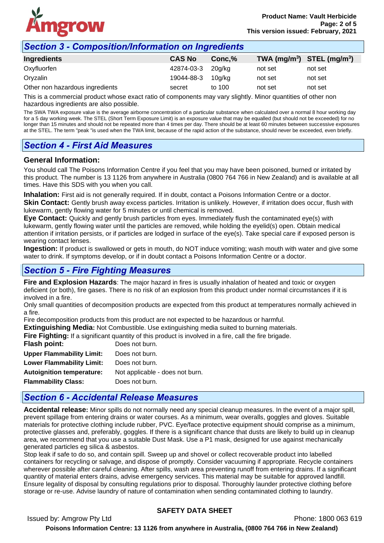

## *Section 3 - Composition/Information on Ingredients*

| <b>CAS No</b> | Conc.% | TWA $(mg/m^3)$ STEL $(mg/m^3)$ |         |
|---------------|--------|--------------------------------|---------|
|               |        | not set                        | not set |
| 19044-88-3    | 10a/ka | not set                        | not set |
| secret        | to 100 | not set                        | not set |
|               |        | 42874-03-3 20g/kg              |         |

This is a commercial product whose exact ratio of components may vary slightly. Minor quantities of other non hazardous ingredients are also possible.

The SWA TWA exposure value is the average airborne concentration of a particular substance when calculated over a normal 8 hour working day for a 5 day working week. The STEL (Short Term Exposure Limit) is an exposure value that may be equalled (but should not be exceeded) for no longer than 15 minutes and should not be repeated more than 4 times per day. There should be at least 60 minutes between successive exposures at the STEL. The term "peak "is used when the TWA limit, because of the rapid action of the substance, should never be exceeded, even briefly.

# *Section 4 - First Aid Measures*

#### **General Information:**

You should call The Poisons Information Centre if you feel that you may have been poisoned, burned or irritated by this product. The number is 13 1126 from anywhere in Australia (0800 764 766 in New Zealand) and is available at all times. Have this SDS with you when you call.

**Inhalation:** First aid is not generally required. If in doubt, contact a Poisons Information Centre or a doctor.

**Skin Contact:** Gently brush away excess particles. Irritation is unlikely. However, if irritation does occur, flush with lukewarm, gently flowing water for 5 minutes or until chemical is removed.

**Eye Contact:** Quickly and gently brush particles from eyes. Immediately flush the contaminated eye(s) with lukewarm, gently flowing water until the particles are removed, while holding the eyelid(s) open. Obtain medical attention if irritation persists, or if particles are lodged in surface of the eye(s). Take special care if exposed person is wearing contact lenses.

**Ingestion:** If product is swallowed or gets in mouth, do NOT induce vomiting; wash mouth with water and give some water to drink. If symptoms develop, or if in doubt contact a Poisons Information Centre or a doctor.

## *Section 5 - Fire Fighting Measures*

**Fire and Explosion Hazards**: The major hazard in fires is usually inhalation of heated and toxic or oxygen deficient (or both), fire gases. There is no risk of an explosion from this product under normal circumstances if it is involved in a fire.

Only small quantities of decomposition products are expected from this product at temperatures normally achieved in a fire.

Fire decomposition products from this product are not expected to be hazardous or harmful.

**Extinguishing Media:** Not Combustible. Use extinguishing media suited to burning materials.

**Fire Fighting:** If a significant quantity of this product is involved in a fire, call the fire brigade.

| Flash point:                     | Does not burn.                  |
|----------------------------------|---------------------------------|
| <b>Upper Flammability Limit:</b> | Does not burn.                  |
| <b>Lower Flammability Limit:</b> | Does not burn.                  |
| <b>Autoignition temperature:</b> | Not applicable - does not burn. |
| <b>Flammability Class:</b>       | Does not burn.                  |
|                                  |                                 |

## *Section 6 - Accidental Release Measures*

**Accidental release:** Minor spills do not normally need any special cleanup measures. In the event of a major spill, prevent spillage from entering drains or water courses. As a minimum, wear overalls, goggles and gloves. Suitable materials for protective clothing include rubber, PVC. Eye/face protective equipment should comprise as a minimum, protective glasses and, preferably, goggles. If there is a significant chance that dusts are likely to build up in cleanup area, we recommend that you use a suitable Dust Mask. Use a P1 mask, designed for use against mechanically generated particles eg silica & asbestos.

Stop leak if safe to do so, and contain spill. Sweep up and shovel or collect recoverable product into labelled containers for recycling or salvage, and dispose of promptly. Consider vacuuming if appropriate. Recycle containers wherever possible after careful cleaning. After spills, wash area preventing runoff from entering drains. If a significant quantity of material enters drains, advise emergency services. This material may be suitable for approved landfill. Ensure legality of disposal by consulting regulations prior to disposal. Thoroughly launder protective clothing before storage or re-use. Advise laundry of nature of contamination when sending contaminated clothing to laundry.

### **SAFETY DATA SHEET**

Issued by: Amgrow Pty Ltd **Phone: 1800 063 619**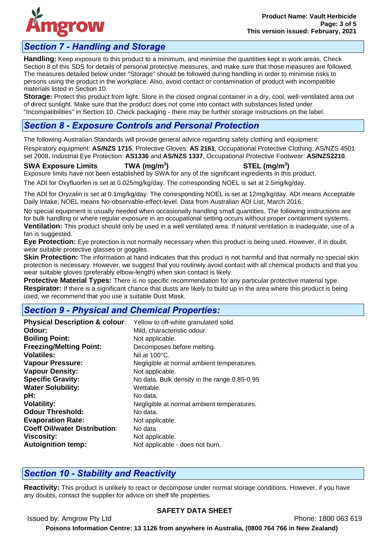

# *Section 7 - Handling and Storage*

**Handling:** Keep exposure to this product to a minimum, and minimise the quantities kept in work areas. Check Section 8 of this SDS for details of personal protective measures, and make sure that those measures are followed. The measures detailed below under "Storage" should be followed during handling in order to minimise risks to persons using the product in the workplace. Also, avoid contact or contamination of product with incompatible materials listed in Section 10.

**Storage:** Protect this product from light. Store in the closed original container in a dry, cool, well-ventilated area out of direct sunlight. Make sure that the product does not come into contact with substances listed under "Incompatibilities" in Section 10. Check packaging - there may be further storage instructions on the label.

# *Section 8 - Exposure Controls and Personal Protection*

The following Australian Standards will provide general advice regarding safety clothing and equipment:

Respiratory equipment: **AS/NZS 1715**, Protective Gloves: **AS 2161**, Occupational Protective Clothing: AS/NZS 4501 set 2008, Industrial Eye Protection: **AS1336** and **AS/NZS 1337**, Occupational Protective Footwear: **AS/NZS2210**.

**SWA Exposure Limits TWA (mg/m<sup>3</sup>**

**) STEL (mg/m<sup>3</sup> )**

Exposure limits have not been established by SWA for any of the significant ingredients in this product.

The ADI for Oxyfluorfen is set at 0.025mg/kg/day. The corresponding NOEL is set at 2.5mg/kg/day.

The ADI for Oryzalin is set at 0.1mg/kg/day. The corresponding NOEL is set at 12mg/kg/day. ADI means Acceptable Daily Intake; NOEL means No-observable-effect-level. Data from Australian ADI List, March 2016.

No special equipment is usually needed when occasionally handling small quantities. The following instructions are for bulk handling or where regular exposure in an occupational setting occurs without proper containment systems. **Ventilation:** This product should only be used in a well ventilated area. If natural ventilation is inadequate, use of a fan is suggested.

**Eye Protection:** Eye protection is not normally necessary when this product is being used. However, if in doubt, wear suitable protective glasses or goggles.

**Skin Protection:** The information at hand indicates that this product is not harmful and that normally no special skin protection is necessary. However, we suggest that you routinely avoid contact with all chemical products and that you wear suitable gloves (preferably elbow-length) when skin contact is likely.

**Protective Material Types:** There is no specific recommendation for any particular protective material type. **Respirator:** If there is a significant chance that dusts are likely to build up in the area where this product is being used, we recommend that you use a suitable Dust Mask.

# *Section 9 - Physical and Chemical Properties:*

| <b>Physical Description &amp; colour:</b> | Yellow to off-white granulated solid.        |
|-------------------------------------------|----------------------------------------------|
| Odour:                                    | Mild, characteristic odour.                  |
| <b>Boiling Point:</b>                     | Not applicable.                              |
| <b>Freezing/Melting Point:</b>            | Decomposes before melting.                   |
| <b>Volatiles:</b>                         | Nil at $100^{\circ}$ C.                      |
| <b>Vapour Pressure:</b>                   | Negligible at normal ambient temperatures.   |
| <b>Vapour Density:</b>                    | Not applicable.                              |
| <b>Specific Gravity:</b>                  | No data. Bulk density in the range 0.85-0.95 |
| <b>Water Solubility:</b>                  | Wettable.                                    |
| pH:                                       | No data.                                     |
| <b>Volatility:</b>                        | Negligible at normal ambient temperatures.   |
| <b>Odour Threshold:</b>                   | No data.                                     |
| <b>Evaporation Rate:</b>                  | Not applicable.                              |
| <b>Coeff Oil/water Distribution:</b>      | No data                                      |
| <b>Viscosity:</b>                         | Not applicable.                              |
| <b>Autoignition temp:</b>                 | Not applicable - does not burn.              |

# *Section 10 - Stability and Reactivity*

**Reactivity:** This product is unlikely to react or decompose under normal storage conditions. However, if you have any doubts, contact the supplier for advice on shelf life properties.

Issued by: Amgrow Pty Ltd **Phone: 1800 063 619** 

### **SAFETY DATA SHEET**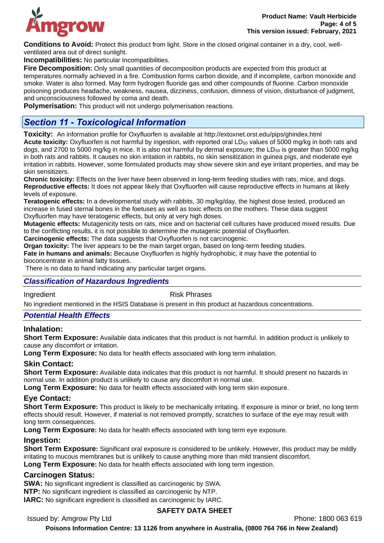

**Conditions to Avoid:** Protect this product from light. Store in the closed original container in a dry, cool, wellventilated area out of direct sunlight.

**Incompatibilities:** No particular Incompatibilities.

**Fire Decomposition:** Only small quantities of decomposition products are expected from this product at temperatures normally achieved in a fire. Combustion forms carbon dioxide, and if incomplete, carbon monoxide and smoke. Water is also formed. May form hydrogen fluoride gas and other compounds of fluorine. Carbon monoxide poisoning produces headache, weakness, nausea, dizziness, confusion, dimness of vision, disturbance of judgment, and unconsciousness followed by coma and death.

**Polymerisation:** This product will not undergo polymerisation reactions.

# *Section 11 - Toxicological Information*

**Toxicity:** An information profile for Oxyfluorfen is available at http://extoxnet.orst.edu/pips/ghindex.html Acute toxicity: Oxyfluorfen is not harmful by ingestion, with reported oral LD<sub>50</sub> values of 5000 mg/kg in both rats and dogs, and 2700 to 5000 mg/kg in mice. It is also not harmful by dermal exposure; the LD<sub>50</sub> is greater than 5000 mg/kg in both rats and rabbits. It causes no skin irritation in rabbits, no skin sensitization in guinea pigs, and moderate eye irritation in rabbits. However, some formulated products may show severe skin and eye irritant properties, and may be skin sensitizers.

**Chronic toxicity:** Effects on the liver have been observed in long-term feeding studies with rats, mice, and dogs. **Reproductive effects:** It does not appear likely that Oxyfluorfen will cause reproductive effects in humans at likely levels of exposure.

**Teratogenic effects:** In a developmental study with rabbits, 30 mg/kg/day, the highest dose tested, produced an increase in fused sternal bones in the foetuses as well as toxic effects on the mothers. These data suggest Oxyfluorfen may have teratogenic effects, but only at very high doses.

**Mutagenic effects:** Mutagenicity tests on rats, mice and on bacterial cell cultures have produced mixed results. Due to the conflicting results, it is not possible to determine the mutagenic potential of Oxyfluorfen.

**Carcinogenic effects:** The data suggests that Oxyfluorfen is not carcinogenic.

**Organ toxicity:** The liver appears to be the main target organ, based on long-term feeding studies.

**Fate in humans and animals:** Because Oxyfluorfen is highly hydrophobic, it may have the potential to bioconcentrate in animal fatty tissues.

There is no data to hand indicating any particular target organs.

## *Classification of Hazardous Ingredients*

Ingredient **Risk Phrases** 

No ingredient mentioned in the HSIS Database is present in this product at hazardous concentrations.

#### *Potential Health Effects*

#### **Inhalation:**

**Short Term Exposure:** Available data indicates that this product is not harmful. In addition product is unlikely to cause any discomfort or irritation.

**Long Term Exposure:** No data for health effects associated with long term inhalation.

### **Skin Contact:**

**Short Term Exposure:** Available data indicates that this product is not harmful. It should present no hazards in normal use. In addition product is unlikely to cause any discomfort in normal use.

**Long Term Exposure:** No data for health effects associated with long term skin exposure.

### **Eye Contact:**

**Short Term Exposure:** This product is likely to be mechanically irritating. If exposure is minor or brief, no long term effects should result. However, if material is not removed promptly, scratches to surface of the eye may result with long term consequences.

**Long Term Exposure:** No data for health effects associated with long term eye exposure.

#### **Ingestion:**

**Short Term Exposure:** Significant oral exposure is considered to be unlikely. However, this product may be mildly irritating to mucous membranes but is unlikely to cause anything more than mild transient discomfort.

**Long Term Exposure:** No data for health effects associated with long term ingestion.

#### **Carcinogen Status:**

**SWA:** No significant ingredient is classified as carcinogenic by SWA.

**NTP:** No significant ingredient is classified as carcinogenic by NTP.

**IARC:** No significant ingredient is classified as carcinogenic by IARC.

### **SAFETY DATA SHEET**

Issued by: Amgrow Pty Ltd **Phone: 1800 063 619**